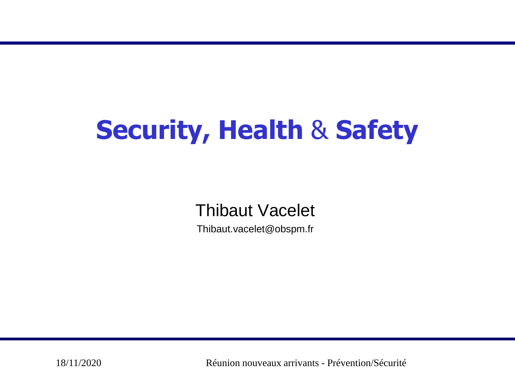# **Security, Health** & **Safety**

Thibaut Vacelet

Thibaut.vacelet@obspm.fr

18/11/2020 Réunion nouveaux arrivants - Prévention/Sécurité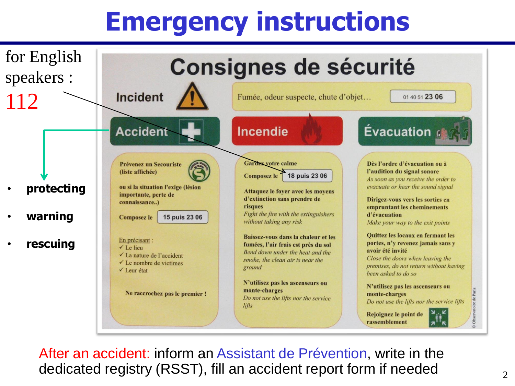## **Emergency instructions**



After an accident: inform an Assistant de Prévention, write in the dedicated registry (RSST), fill an accident report form if needed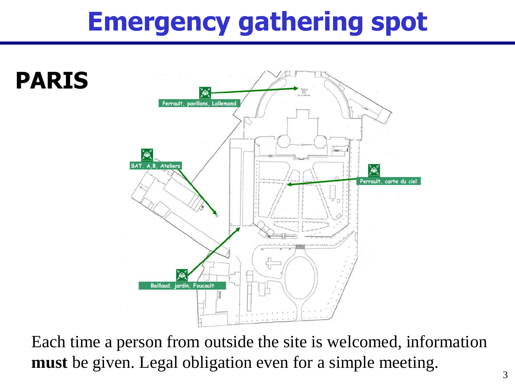### **Emergency gathering spot**



Each time a person from outside the site is welcomed, information **must** be given. Legal obligation even for a simple meeting.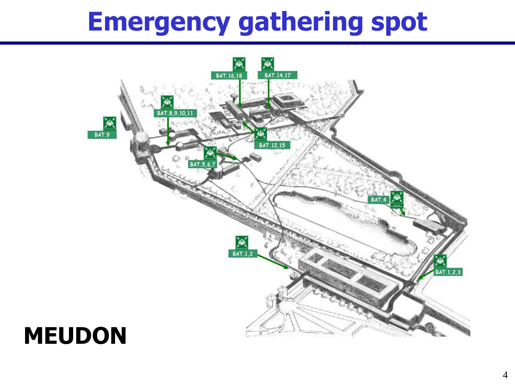### **Emergency gathering spot**



### **MEUDON**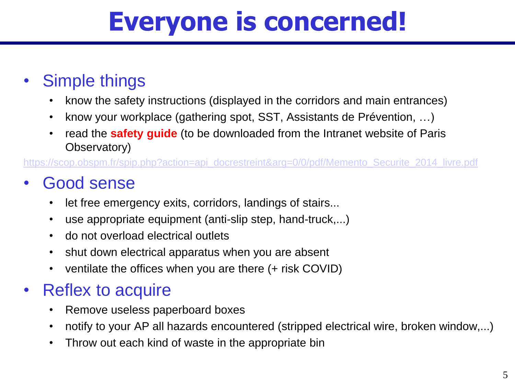### **Everyone is concerned!**

#### • Simple things

- know the safety instructions (displayed in the corridors and main entrances)
- know your workplace (gathering spot, SST, Assistants de Prévention, ...)
- read the **safety guide** (to be downloaded from the Intranet website of Paris Observatory)

[https://scop.obspm.fr/spip.php?action=api\\_docrestreint&arg=0/0/pdf/Memento\\_Securite\\_2014\\_livre.pdf](https://scop.obspm.fr/spip.php?action=api_docrestreint&arg=0/0/pdf/Memento_Securite_2014_livre.pdf)

### • Good sense

- let free emergency exits, corridors, landings of stairs...
- use appropriate equipment (anti-slip step, hand-truck,...)
- do not overload electrical outlets
- shut down electrical apparatus when you are absent
- ventilate the offices when you are there (+ risk COVID)

### • Reflex to acquire

- Remove useless paperboard boxes
- notify to your AP all hazards encountered (stripped electrical wire, broken window,...)
- Throw out each kind of waste in the appropriate bin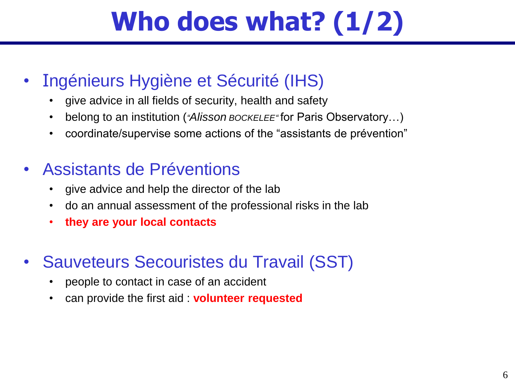## **Who does what? (1/2)**

- Ingénieurs Hygiène et Sécurité (IHS)
	- give advice in all fields of security, health and safety
	- belong to an institution (*"Alisson BOCKELEE"* for Paris Observatory...)
	- coordinate/supervise some actions of the "assistants de prévention"

#### • Assistants de Préventions

- give advice and help the director of the lab
- do an annual assessment of the professional risks in the lab
- **they are your local contacts**
- Sauveteurs Secouristes du Travail (SST)
	- people to contact in case of an accident
	- can provide the first aid : **volunteer requested**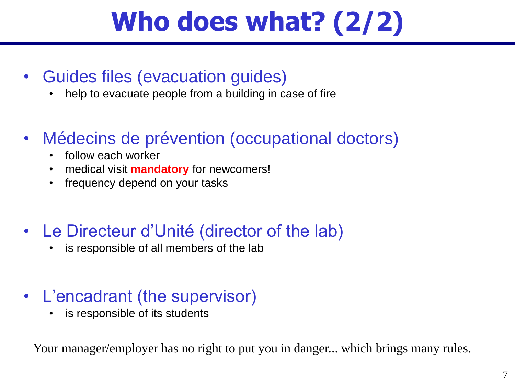## **Who does what? (2/2)**

- Guides files (evacuation guides)
	- help to evacuate people from a building in case of fire
- Médecins de prévention (occupational doctors)
	- follow each worker
	- medical visit **mandatory** for newcomers!
	- frequency depend on your tasks
- Le Directeur d'Unité (director of the lab)
	- is responsible of all members of the lab
- L'encadrant (the supervisor)
	- is responsible of its students

Your manager/employer has no right to put you in danger... which brings many rules.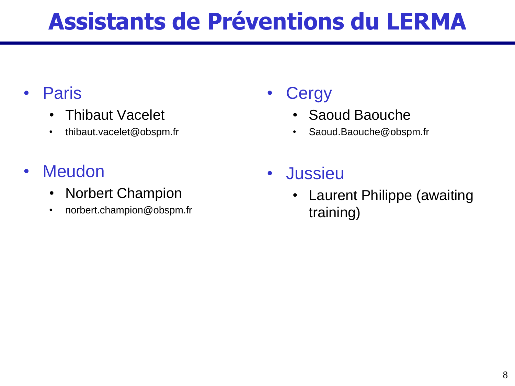### **Assistants de Préventions du LERMA**

#### • Paris

- Thibaut Vacelet
- thibaut.vacelet@obspm.fr

#### • Meudon

- Norbert Champion
- norbert.champion@obspm.fr

### **Cergy**

- Saoud Baouche
- Saoud.Baouche@obspm.fr
- Jussieu
	- Laurent Philippe (awaiting training)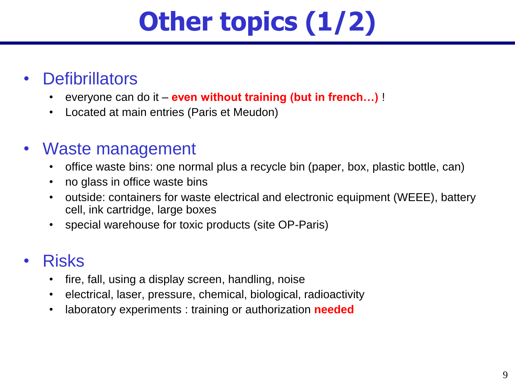# **Other topics (1/2)**

- **Defibrillators** 
	- everyone can do it **even without training (but in french…)** !
	- Located at main entries (Paris et Meudon)
- Waste management
	- office waste bins: one normal plus a recycle bin (paper, box, plastic bottle, can)
	- no glass in office waste bins
	- outside: containers for waste electrical and electronic equipment (WEEE), battery cell, ink cartridge, large boxes
	- special warehouse for toxic products (site OP-Paris)

#### • Risks

- fire, fall, using a display screen, handling, noise
- electrical, laser, pressure, chemical, biological, radioactivity
- laboratory experiments : training or authorization **needed**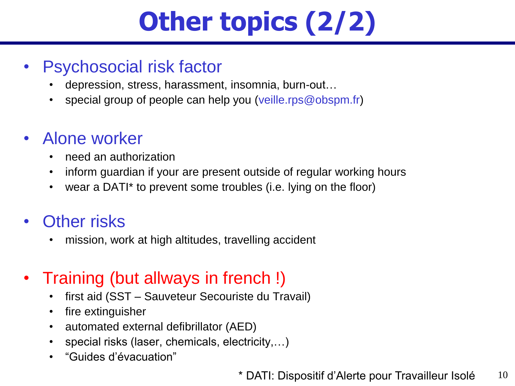# **Other topics (2/2)**

#### • Psychosocial risk factor

- depression, stress, harassment, insomnia, burn-out…
- special group of people can help you (veille.rps@obspm.fr)

#### • Alone worker

- need an authorization
- inform guardian if your are present outside of regular working hours
- wear a DATI\* to prevent some troubles (i.e. lying on the floor)
- Other risks
	- mission, work at high altitudes, travelling accident

#### • Training (but allways in french!)

- first aid (SST Sauveteur Secouriste du Travail)
- fire extinguisher
- automated external defibrillator (AED)
- special risks (laser, chemicals, electricity,...)
- "Guides d'évacuation"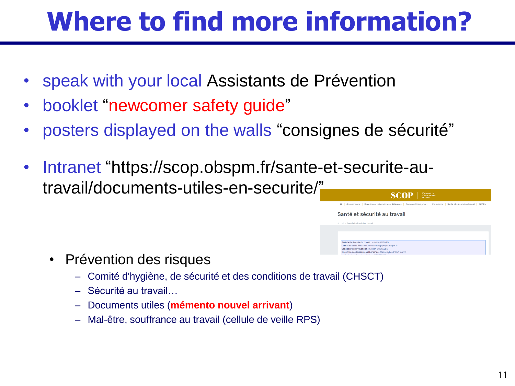### **Where to find more information?**

- speak with your local Assistants de Prévention
- booklet "newcomer safety guide"
- posters displayed on the walls "consignes de sécurité"
- Intranet "https://scop.obspm.fr/sante-et-securite-autravail/documents-utiles-en-securite/"



Gouvernance | Directions - Laboratoires - Référents | Comment faire pour... | Vie interne | Santé et sécurité au travail | SCOF

Santé et sécurité au travail

stante Sociale du travail : Isabelle METAIRY ellule de veille RPS : cellule.veille.rps@symp seillère en Prévention : Alisson ROCKELEE

- Prévention des risques
	- Comité d'hygiène, de sécurité et des conditions de travail (CHSCT)
	- Sécurité au travail…
	- Documents utiles (**mémento nouvel arrivant**)
	- Mal-être, souffrance au travail (cellule de veille RPS)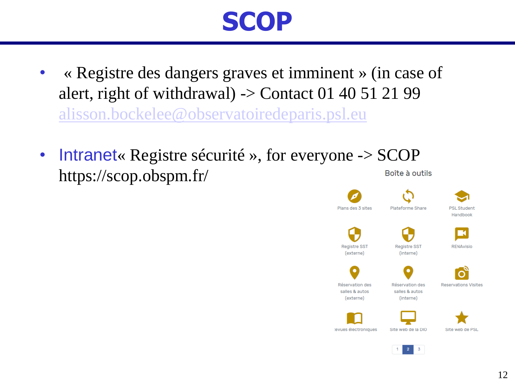### **SCOP**

- « Registre des dangers graves et imminent » (in case of alert, right of withdrawal)  $\rightarrow$  Contact 01 40 51 21 99 [alisson.bockelee@observatoiredeparis.psl.eu](mailto:alisson.bockelee@observatoiredeparis.psl.eu)
- Intranet« Registre sécurité », for everyone -> SCOP https://scop.obspm.fr/Boîte à outils



 $\overline{3}$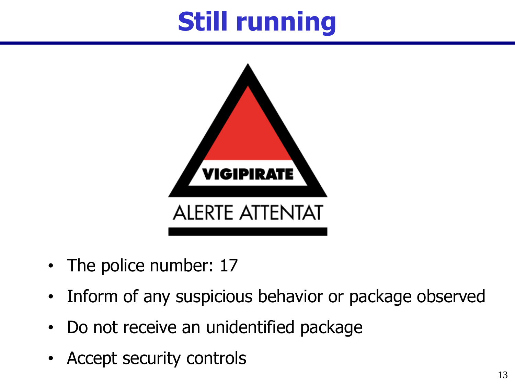## **Still running**



- The police number: 17
- Inform of any suspicious behavior or package observed
- Do not receive an unidentified package
- Accept security controls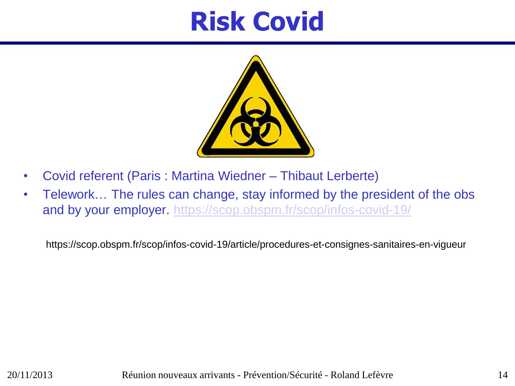### **Risk Covid**



- Covid referent (Paris : Martina Wiedner Thibaut Lerberte)
- Telework... The rules can change, stay informed by the president of the obs and by your employer. <https://scop.obspm.fr/scop/infos-covid-19/>

https://scop.obspm.fr/scop/infos-covid-19/article/procedures-et-consignes-sanitaires-en-vigueur